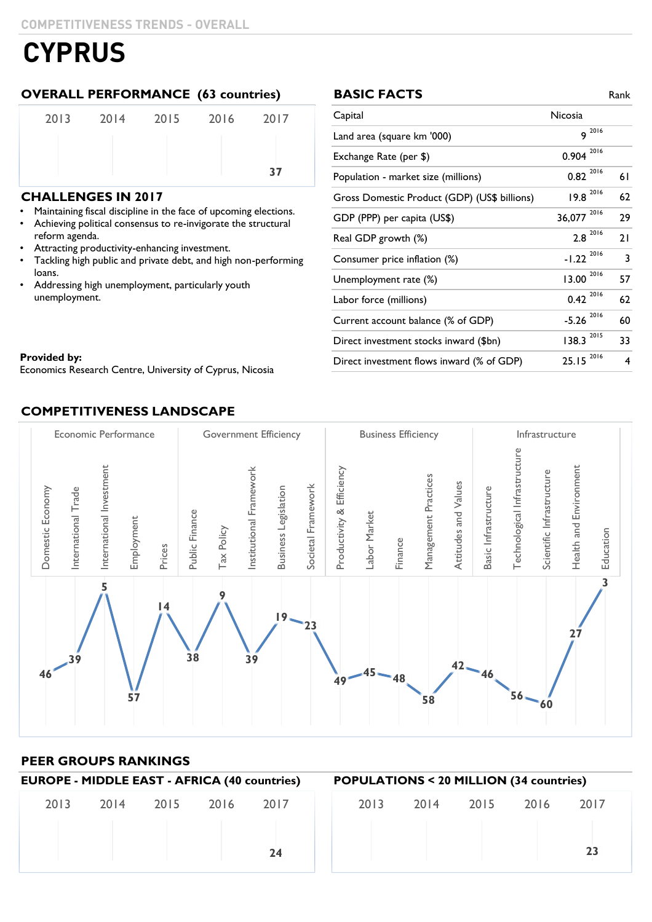#### **OVERALL PERFORMANCE (63 countries) BASIC FACTS** Rank

| 2013 | 2014 2015 2016 | 2017 |
|------|----------------|------|
|      |                |      |
|      |                | 37   |

#### **CHALLENGES IN 2017**

Maintaining fiscal discipline in the face of upcoming elections. • Maintaining fiscal discipline in the face of upcoming elections.

- reform agenda. The structural reform agenda. Achieving political consensus to re-invigorate the structural
- Attracting productivity-enhancing investment.
- Tackling high public and private debt, and high non-performing loans.
- Addressing high unemployment, particularly youth unemployment.

| <b>BASIC FACTS</b>                           |                         | Rank |
|----------------------------------------------|-------------------------|------|
| Capital                                      | Nicosia                 |      |
| Land area (square km '000)                   | $9^{2016}$              |      |
| Exchange Rate (per \$)                       | 2016<br>0.904           |      |
| Population - market size (millions)          | $0.82^{2016}$           | 61   |
| Gross Domestic Product (GDP) (US\$ billions) | $19.8 \n2016$           | 62   |
| GDP (PPP) per capita (US\$)                  | 2016<br>36,077          | 29   |
| Real GDP growth (%)                          | $2.8 \space^{2016}$     | 21   |
| Consumer price inflation (%)                 | $-1.22$ <sup>2016</sup> | 3    |
| Unemployment rate (%)                        | 2016<br>13.00           | 57   |
| Labor force (millions)                       | $0.42^{2016}$           | 62   |
| Current account balance (% of GDP)           | 2016<br>$-5.26$         | 60   |
| Direct investment stocks inward (\$bn)       | 138.3 2015              | 33   |
| Direct investment flows inward (% of GDP)    | 2016<br>25.15           | 4    |

#### Provided by: Equipment Cyprus, Nicosia of Cyprus, Nicolas Cyprus, Nicolas Cyprus, Nicolas Cyprus, Nicolas Cyprus, Nicolas Cyprus, Nicolas Cyprus, Nicolas Cyprus, Nicolas Cyprus, Nicolas Cyprus, Nicolas Cyprus, Nicolas Cypr **Provided by:**

Economics Research Centre, University of Cyprus, Nicosia

### **COMPETITIVENESS LANDSCAPE**



#### **PEER GROUPS RANKINGS**

| <b>EUROPE - MIDDLE EAST - AFRICA (40 countries)</b> |                |  |  | <b>POPULATIONS &lt; 20 MILLION (34 countries)</b> |      |  |           |      |      |
|-----------------------------------------------------|----------------|--|--|---------------------------------------------------|------|--|-----------|------|------|
| 2013                                                | 2014 2015 2016 |  |  | 2017                                              | 2013 |  | 2014 2015 | 2016 | 2017 |
|                                                     |                |  |  | 24                                                |      |  |           |      | 23   |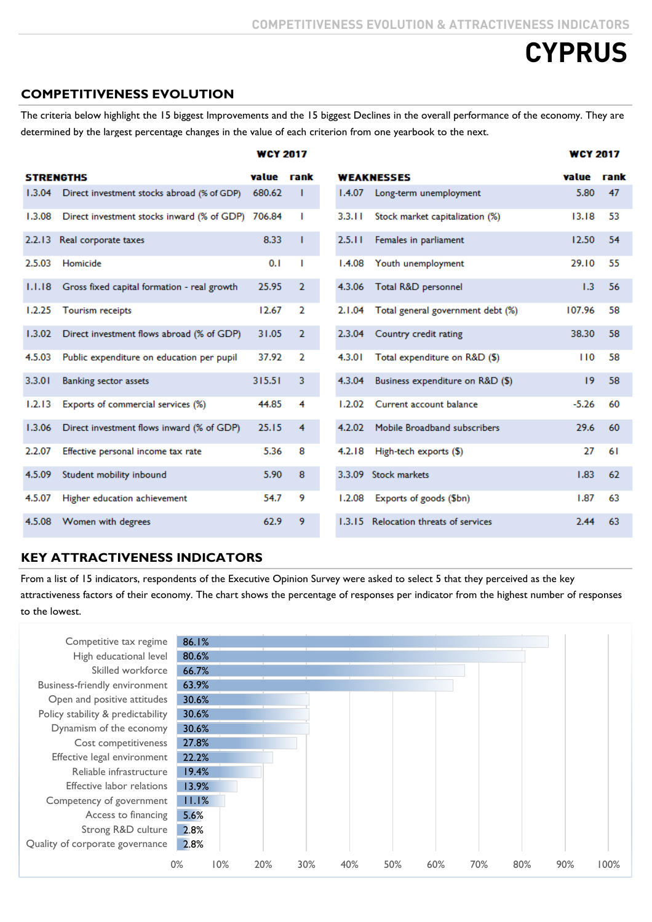#### **COMPETITIVENESS EVOLUTION**

The criteria below highlight the 15 biggest Improvements and the 15 biggest Declines in the overall performance of the economy. They are determined by the largest percentage changes in the value of each criterion from one yearbook to the next.

|        |                                                   | <b>WCY 2017</b> |                |        |                                       | <b>WCY 2017</b> |    |
|--------|---------------------------------------------------|-----------------|----------------|--------|---------------------------------------|-----------------|----|
|        | <b>STRENGTHS</b>                                  | value rank      |                |        | <b>WEAKNESSES</b>                     | value rank      |    |
| 1.3.04 | Direct investment stocks abroad (% of GDP)        | 680.62          |                | 1.4.07 | Long-term unemployment                | 5.80            | 47 |
| 1.3.08 | Direct investment stocks inward (% of GDP) 706.84 |                 | Т              | 3.3.11 | Stock market capitalization (%)       | 13.18           | 53 |
| 2.2.13 | Real corporate taxes                              | 8.33            | T              | 2.5.11 | Females in parliament                 | 12.50           | 54 |
| 2.5.03 | Homicide                                          | 0.1             | Т              | 1.4.08 | Youth unemployment                    | 29.10           | 55 |
| 1.1.18 | Gross fixed capital formation - real growth       | 25.95           | 2              | 4.3.06 | Total R&D personnel                   | 1.3             | 56 |
| 1.2.25 | Tourism receipts                                  | 12.67           | 2              | 2.1.04 | Total general government debt (%)     | 107.96          | 58 |
| 1.3.02 | Direct investment flows abroad (% of GDP)         | 31.05           | $\overline{2}$ | 2.3.04 | Country credit rating                 | 38.30           | 58 |
| 4.5.03 | Public expenditure on education per pupil         | 37.92           | $\overline{2}$ | 4.3.01 | Total expenditure on R&D (\$)         | 110             | 58 |
| 3.3.01 | <b>Banking sector assets</b>                      | 315.51          | 3              | 4.3.04 | Business expenditure on R&D (\$)      | 19              | 58 |
| 1.2.13 | Exports of commercial services (%)                | 44.85           | 4              | 1.2.02 | Current account balance               | $-5.26$         | 60 |
| 1.3.06 | Direct investment flows inward (% of GDP)         | 25.15           | 4              | 4.2.02 | Mobile Broadband subscribers          | 29.6            | 60 |
| 2.2.07 | Effective personal income tax rate                | 5.36            | 8              | 4.2.18 | High-tech exports (\$)                | 27              | 61 |
| 4.5.09 | Student mobility inbound                          | 5.90            | 8              | 3.3.09 | <b>Stock markets</b>                  | 1.83            | 62 |
| 4.5.07 | Higher education achievement                      | 54.7            | 9              | 1.2.08 | Exports of goods (\$bn)               | 1.87            | 63 |
| 4.5.08 | Women with degrees                                | 62.9            | 9              |        | 1.3.15 Relocation threats of services | 2.44            | 63 |

#### **KEY ATTRACTIVENESS INDICATORS**

From a list of 15 indicators, respondents of the Executive Opinion Survey were asked to select 5 that they perceived as the key attractiveness factors of their economy. The chart shows the percentage of responses per indicator from the highest number of responses to the lowest.

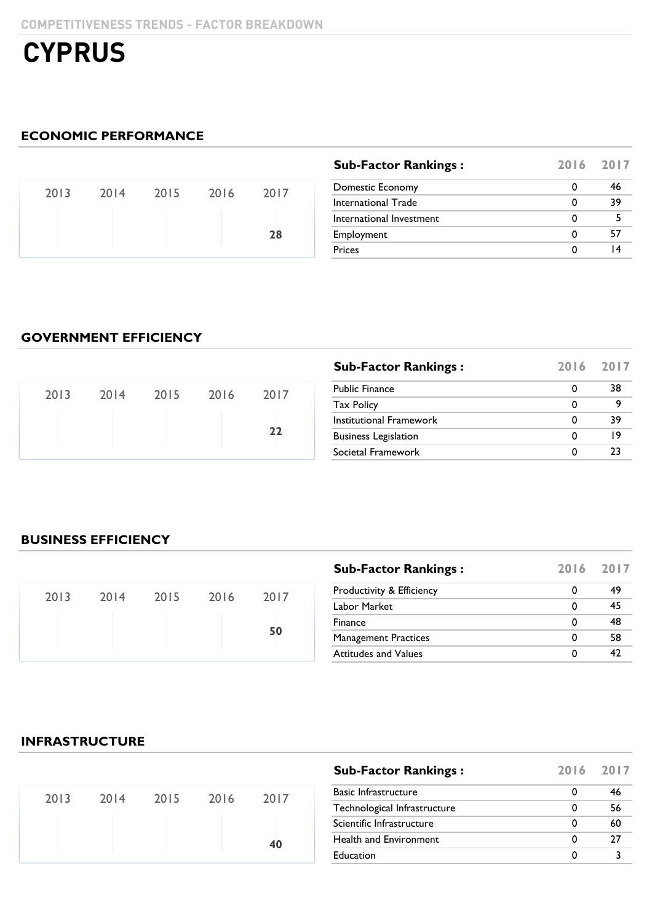### **ECONOMIC PERFORMANCE**

|  | 2013 2014 2015 2016 2017 |    |  |
|--|--------------------------|----|--|
|  |                          | 28 |  |

| <b>Sub-Factor Rankings:</b> | 2016 2017 |    |
|-----------------------------|-----------|----|
| Domestic Economy            | 0         | 46 |
| International Trade         | 0         | 39 |
| International Investment    | 0         |    |
| Employment                  | O         | 57 |
| <b>Prices</b>               | O         |    |

### **GOVERNMENT EFFICIENCY**

|      |      |      |      |      | <b>Sub-Factor Rankings:</b> | 2016 2017         |  |
|------|------|------|------|------|-----------------------------|-------------------|--|
| 2013 | 2014 | 2015 | 2016 | 2017 | <b>Public Finance</b>       | 38                |  |
|      |      |      |      |      |                             | <b>Tax Policy</b> |  |
|      |      |      |      |      | Institutional Framework     | 39                |  |
|      |      |      |      | 22   | <b>Business Legislation</b> | ۱9                |  |
|      |      |      |      |      | Societal Framework          |                   |  |

#### **BUSINESS EFFICIENCY**

| 2013 | 2014 2015 2016 | 2017 |  |
|------|----------------|------|--|
|      |                | 50   |  |

| <b>Sub-Factor Rankings:</b> |   | 2016 2017 |
|-----------------------------|---|-----------|
| Productivity & Efficiency   | O | 49        |
| Labor Market                | 0 | 45        |
| Finance                     | 0 | 48        |
| <b>Management Practices</b> | 0 | 58        |
| <b>Attitudes and Values</b> | 0 | 47        |

#### **INFRASTRUCTURE**

| 2013 | 2014 2015 2016 | 2017 |
|------|----------------|------|
|      |                | 40   |

| <b>Sub-Factor Rankings:</b>   | 2016 2017 |    |
|-------------------------------|-----------|----|
| <b>Basic Infrastructure</b>   |           | 46 |
| Technological Infrastructure  | 0         | 56 |
| Scientific Infrastructure     | 0         | 60 |
| <b>Health and Environment</b> | 0         | 27 |
| Education                     | 0         |    |